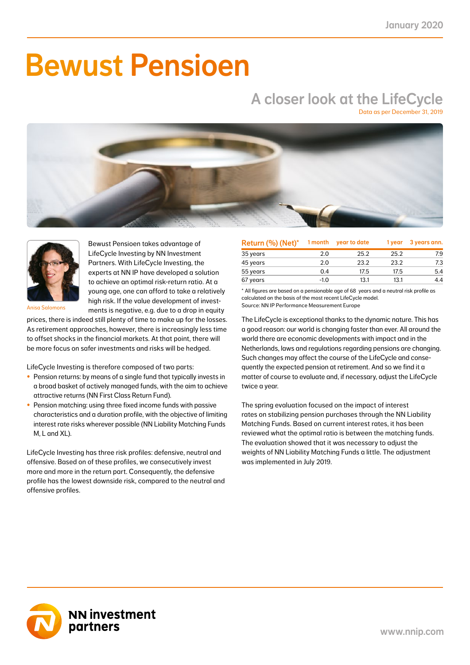# Bewust Pensioen

## A closer look at the LifeCycle

Data as per December 31, 2019





Bewust Pensioen takes advantage of LifeCycle Investing by NN Investment Partners. With LifeCycle Investing, the experts at NN IP have developed a solution to achieve an optimal risk-return ratio. At a young age, one can afford to take a relatively high risk. If the value development of investments is negative, e.g. due to a drop in equity

Anisa Salomons

prices, there is indeed still plenty of time to make up for the losses. As retirement approaches, however, there is increasingly less time to offset shocks in the financial markets. At that point, there will be more focus on safer investments and risks will be hedged.

LifeCycle Investing is therefore composed of two parts:

- Pension returns: by means of a single fund that typically invests in a broad basket of actively managed funds, with the aim to achieve attractive returns (NN First Class Return Fund).
- Pension matching: using three fixed income funds with passive characteristics and a duration profile, with the objective of limiting interest rate risks wherever possible (NN Liability Matching Funds M, L and XL).

LifeCycle Investing has three risk profiles: defensive, neutral and offensive. Based on of these profiles, we consecutively invest more and more in the return part. Consequently, the defensive profile has the lowest downside risk, compared to the neutral and offensive profiles.

| Return (%) (Net)* | 1 month | year to date | 1 year | 3 years ann. |
|-------------------|---------|--------------|--------|--------------|
| 35 years          | 2.0     | 25.2         | 25.2   | 7.9          |
| 45 years          | 2.0     | 23.2         | 23.2   | 7.3          |
| 55 years          | 0.4     | 17.5         | 17.5   | 5.4          |
| 67 years          | $-1.0$  | 13.1         | 13.1   | 4.4          |

\* All figures are based on a pensionable age of 68 years and a neutral risk profile as calculated on the basis of the most recent LifeCycle model. Source: NN IP Performance Measurement Europe

The LifeCycle is exceptional thanks to the dynamic nature. This has a good reason: our world is changing faster than ever. All around the world there are economic developments with impact and in the Netherlands, laws and regulations regarding pensions are changing. Such changes may affect the course of the LifeCycle and consequently the expected pension at retirement. And so we find it a matter of course to evaluate and, if necessary, adjust the LifeCycle twice a year.

The spring evaluation focused on the impact of interest rates on stabilizing pension purchases through the NN Liability Matching Funds. Based on current interest rates, it has been reviewed what the optimal ratio is between the matching funds. The evaluation showed that it was necessary to adjust the weights of NN Liability Matching Funds a little. The adjustment was implemented in July 2019.

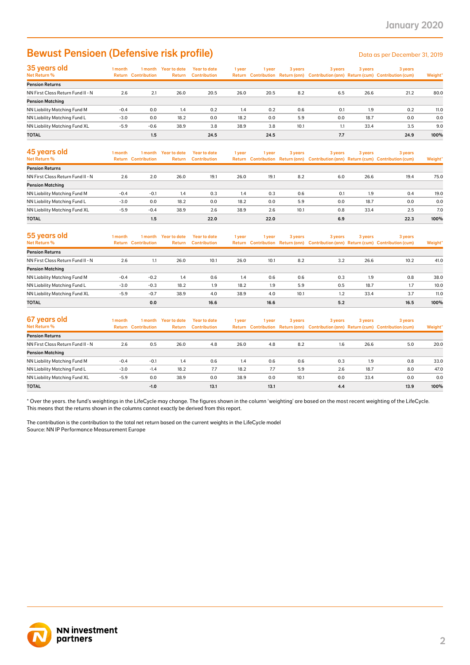### Bewust Pensioen (Defensive risk profile) Data as per December 31, 2019

| 35 years old                         | 1 month | l month                    | Year to date  | Year to date        | 1 year | l vear | 3 years | 3 years | 3 years | 3 years                                                                             |         |
|--------------------------------------|---------|----------------------------|---------------|---------------------|--------|--------|---------|---------|---------|-------------------------------------------------------------------------------------|---------|
| Net Return %                         |         | <b>Return Contribution</b> | <b>Return</b> | <b>Contribution</b> |        |        |         |         |         | Return Contribution Return (ann) Contribution (ann) Return (cum) Contribution (cum) | Weight* |
| <b>Pension Returns</b>               |         |                            |               |                     |        |        |         |         |         |                                                                                     |         |
| NN First Class Return Fund II - N    | 2.6     | 2.1                        | 26.0          | 20.5                | 26.0   | 20.5   | 8.2     | 6.5     | 26.6    | 21.2                                                                                | 80.0    |
| <b>Pension Matching</b>              |         |                            |               |                     |        |        |         |         |         |                                                                                     |         |
| <b>NN Liability Matching Fund M</b>  | $-0.4$  | 0.0                        | 1.4           | 0.2                 | 1.4    | 0.2    | 0.6     | 0.1     | 1.9     | 0.2                                                                                 | 11.0    |
| NN Liability Matching Fund L         | $-3.0$  | 0.0                        | 18.2          | 0.0                 | 18.2   | 0.0    | 5.9     | 0.0     | 18.7    | 0.0                                                                                 | 0.0     |
| <b>NN Liability Matching Fund XL</b> | $-5.9$  | $-0.6$                     | 38.9          | 3.8                 | 38.9   | 3.8    | 10.1    | 1.1     | 33.4    | 3.5                                                                                 | 9.0     |
| <b>TOTAL</b>                         |         | 1.5                        |               | 24.5                |        | 24.5   |         | 7.7     |         | 24.9                                                                                | 100%    |

| 45 years old<br>Net Return %      | l month | 1 month<br><b>Return Contribution</b> | Year to date<br><b>Return</b> | Year to date<br><b>Contribution</b> | 1 year | 1 vear | 3 years | 3 years | 3 years | 3 years<br>Return Contribution Return (ann) Contribution (ann) Return (cum) Contribution (cum) | Weight* |
|-----------------------------------|---------|---------------------------------------|-------------------------------|-------------------------------------|--------|--------|---------|---------|---------|------------------------------------------------------------------------------------------------|---------|
| <b>Pension Returns</b>            |         |                                       |                               |                                     |        |        |         |         |         |                                                                                                |         |
| NN First Class Return Fund II - N | 2.6     | 2.0                                   | 26.0                          | 19.1                                | 26.0   | 19.1   | 8.2     | 6.0     | 26.6    | 19.4                                                                                           | 75.0    |
| <b>Pension Matching</b>           |         |                                       |                               |                                     |        |        |         |         |         |                                                                                                |         |
| NN Liability Matching Fund M      | $-0.4$  | $-0.1$                                | 1.4                           | 0.3                                 | 1.4    | 0.3    | 0.6     | 0.1     | 1.9     | 0.4                                                                                            | 19.0    |
| NN Liability Matching Fund L      | $-3.0$  | 0.0                                   | 18.2                          | 0.0                                 | 18.2   | 0.0    | 5.9     | 0.0     | 18.7    | 0.0                                                                                            | 0.0     |
| NN Liability Matching Fund XL     | $-5.9$  | $-0.4$                                | 38.9                          | 2.6                                 | 38.9   | 2.6    | 10.1    | 0.8     | 33.4    | 2.5                                                                                            | 7.0     |
| <b>TOTAL</b>                      |         | 1.5                                   |                               | 22.0                                |        | 22.0   |         | 6.9     |         | 22.3                                                                                           | 100%    |

| 55 years old<br>Net Return %      | l month | 1 month<br><b>Return Contribution</b> | Year to date<br><b>Return</b> | Year to date<br>Contribution | 1 year | 1 vear | 3 years | 3 years | 3 years | 3 years<br>Return Contribution Return (ann) Contribution (ann) Return (cum) Contribution (cum) | Weight* |
|-----------------------------------|---------|---------------------------------------|-------------------------------|------------------------------|--------|--------|---------|---------|---------|------------------------------------------------------------------------------------------------|---------|
| <b>Pension Returns</b>            |         |                                       |                               |                              |        |        |         |         |         |                                                                                                |         |
| NN First Class Return Fund II - N | 2.6     | 1.1                                   | 26.0                          | 10.1                         | 26.0   | 10.1   | 8.2     | 3.2     | 26.6    | 10.2                                                                                           | 41.0    |
| <b>Pension Matching</b>           |         |                                       |                               |                              |        |        |         |         |         |                                                                                                |         |
| NN Liability Matching Fund M      | $-0.4$  | $-0.2$                                | 1.4                           | 0.6                          | 1.4    | 0.6    | 0.6     | 0.3     | 1.9     | 0.8                                                                                            | 38.0    |
| NN Liability Matching Fund L      | $-3.0$  | $-0.3$                                | 18.2                          | 1.9                          | 18.2   | 1.9    | 5.9     | 0.5     | 18.7    | 1.7                                                                                            | 10.0    |
| NN Liability Matching Fund XL     | $-5.9$  | $-0.7$                                | 38.9                          | 4.0                          | 38.9   | 4.0    | 10.1    | 1.2     | 33.4    | 3.7                                                                                            | 11.0    |
| <b>TOTAL</b>                      |         | 0.0                                   |                               | 16.6                         |        | 16.6   |         | 5.2     |         | 16.5                                                                                           | 100%    |

| 67 years old<br>Net Return %      | I month<br>Return | 1 month<br><b>Contribution</b> | Year to date<br>Return | Year to date<br><b>Contribution</b> | 1 year | 1 vear | 3 years | 3 years | 3 years | 3 years<br>Return Contribution Return (ann) Contribution (ann) Return (cum) Contribution (cum) | Weight* |
|-----------------------------------|-------------------|--------------------------------|------------------------|-------------------------------------|--------|--------|---------|---------|---------|------------------------------------------------------------------------------------------------|---------|
| <b>Pension Returns</b>            |                   |                                |                        |                                     |        |        |         |         |         |                                                                                                |         |
| NN First Class Return Fund II - N | 2.6               | 0.5                            | 26.0                   | 4.8                                 | 26.0   | 4.8    | 8.2     | 1.6     | 26.6    | 5.0                                                                                            | 20.0    |
| <b>Pension Matching</b>           |                   |                                |                        |                                     |        |        |         |         |         |                                                                                                |         |
| NN Liability Matching Fund M      | $-0.4$            | $-0.1$                         | 1.4                    | 0.6                                 | 1.4    | 0.6    | 0.6     | 0.3     | 1.9     | 0.8                                                                                            | 33.0    |
| NN Liability Matching Fund L      | $-3.0$            | $-1.4$                         | 18.2                   | 7.7                                 | 18.2   | 7.7    | 5.9     | 2.6     | 18.7    | 8.0                                                                                            | 47.0    |
| NN Liability Matching Fund XL     | $-5.9$            | 0.0                            | 38.9                   | 0.0                                 | 38.9   | 0.0    | 10.1    | 0.0     | 33.4    | 0.0                                                                                            | 0.0     |
| <b>TOTAL</b>                      |                   | $-1.0$                         |                        | 13.1                                |        | 13.1   |         | 4.4     |         | 13.9                                                                                           | 100%    |

\* Over the years. the fund's weightings in the LifeCycle may change. The figures shown in the column 'weighting' are based on the most recent weighting of the LifeCycle. This means that the returns shown in the columns cannot exactly be derived from this report.

The contribution is the contribution to the total net return based on the current weights in the LifeCycle model Source: NN IP Performance Measurement Europe

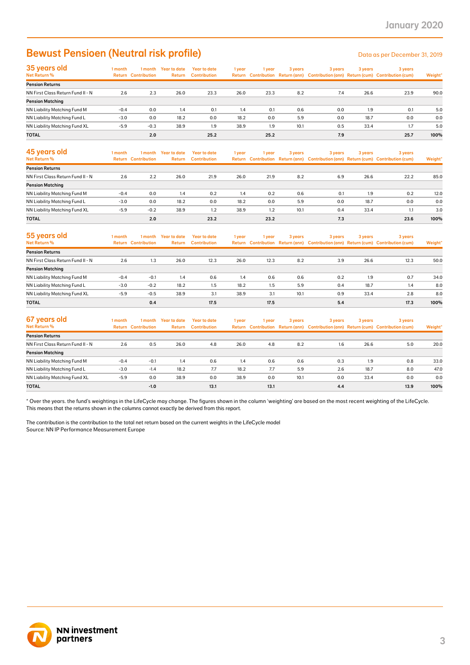### Bewust Pensioen (Neutral risk profile) Data as per December 31, 2019

| 35 years old                      | 1 month | l month                    | Year to date | <b>Year to date</b> | 1 year | l year | 3 years | 3 years | 3 years | 3 years                                                                             |         |
|-----------------------------------|---------|----------------------------|--------------|---------------------|--------|--------|---------|---------|---------|-------------------------------------------------------------------------------------|---------|
| Net Return %                      |         | <b>Return Contribution</b> | Return       | <b>Contribution</b> |        |        |         |         |         | Return Contribution Return (ann) Contribution (ann) Return (cum) Contribution (cum) | Weight* |
| <b>Pension Returns</b>            |         |                            |              |                     |        |        |         |         |         |                                                                                     |         |
| NN First Class Return Fund II - N | 2.6     | 2.3                        | 26.0         | 23.3                | 26.0   | 23.3   | 8.2     | 7.4     | 26.6    | 23.9                                                                                | 90.0    |
| <b>Pension Matching</b>           |         |                            |              |                     |        |        |         |         |         |                                                                                     |         |
| NN Liability Matching Fund M      | $-0.4$  | 0.0                        | 1.4          | 0.1                 | 1.4    | 0.1    | 0.6     | 0.0     | 1.9     | 0.1                                                                                 | 5.0     |
| NN Liability Matching Fund L      | $-3.0$  | 0.0                        | 18.2         | 0.0                 | 18.2   | 0.0    | 5.9     | 0.0     | 18.7    | 0.0                                                                                 | 0.0     |
| NN Liability Matching Fund XL     | $-5.9$  | $-0.3$                     | 38.9         | 1.9                 | 38.9   | 1.9    | 10.1    | 0.5     | 33.4    | 1.7                                                                                 | 5.0     |
| <b>TOTAL</b>                      |         | 2.0                        |              | 25.2                |        | 25.2   |         | 7.9     |         | 25.7                                                                                | 100%    |

| 45 years old<br><b>Net Return %</b> | 1 month | 1 month<br><b>Return Contribution</b> | Year to date<br><b>Return</b> | Year to date<br><b>Contribution</b> | 1 year | 1 year | 3 years | 3 years | 3 years | 3 years<br>Return Contribution Return (ann) Contribution (ann) Return (cum) Contribution (cum) | Weight* |
|-------------------------------------|---------|---------------------------------------|-------------------------------|-------------------------------------|--------|--------|---------|---------|---------|------------------------------------------------------------------------------------------------|---------|
| <b>Pension Returns</b>              |         |                                       |                               |                                     |        |        |         |         |         |                                                                                                |         |
| NN First Class Return Fund II - N   | 2.6     | 2.2                                   | 26.0                          | 21.9                                | 26.0   | 21.9   | 8.2     | 6.9     | 26.6    | 22.2                                                                                           | 85.0    |
| <b>Pension Matching</b>             |         |                                       |                               |                                     |        |        |         |         |         |                                                                                                |         |
| NN Liability Matching Fund M        | $-0.4$  | 0.0                                   | 1.4                           | 0.2                                 | 1.4    | 0.2    | 0.6     | 0.1     | 1.9     | 0.2                                                                                            | 12.0    |
| NN Liability Matching Fund L        | $-3.0$  | 0.0                                   | 18.2                          | 0.0                                 | 18.2   | 0.0    | 5.9     | 0.0     | 18.7    | 0.0                                                                                            | 0.0     |
| NN Liability Matching Fund XL       | $-5.9$  | $-0.2$                                | 38.9                          | 1.2                                 | 38.9   | 1.2    | 10.1    | 0.4     | 33.4    |                                                                                                | 3.0     |
| <b>TOTAL</b>                        |         | 2.0                                   |                               | 23.2                                |        | 23.2   |         | 7.3     |         | 23.6                                                                                           | 100%    |

| 55 years old<br><b>Net Return %</b> | l month | 1 month<br><b>Return Contribution</b> | <b>Year to date</b><br>Return | <b>Year to date</b><br><b>Contribution</b> | 1 year | 1 year | 3 years | 3 years | 3 years | 3 years<br>Return Contribution Return (ann) Contribution (ann) Return (cum) Contribution (cum) | Weight* |
|-------------------------------------|---------|---------------------------------------|-------------------------------|--------------------------------------------|--------|--------|---------|---------|---------|------------------------------------------------------------------------------------------------|---------|
| <b>Pension Returns</b>              |         |                                       |                               |                                            |        |        |         |         |         |                                                                                                |         |
| NN First Class Return Fund II - N   | 2.6     | 1.3                                   | 26.0                          | 12.3                                       | 26.0   | 12.3   | 8.2     | 3.9     | 26.6    | 12.3                                                                                           | 50.0    |
| <b>Pension Matching</b>             |         |                                       |                               |                                            |        |        |         |         |         |                                                                                                |         |
| NN Liability Matching Fund M        | $-0.4$  | $-0.1$                                | 1.4                           | 0.6                                        | 1.4    | 0.6    | 0.6     | 0.2     | 1.9     | 0.7                                                                                            | 34.0    |
| NN Liability Matching Fund L        | $-3.0$  | $-0.2$                                | 18.2                          | 1.5                                        | 18.2   | 1.5    | 5.9     | 0.4     | 18.7    | 1.4                                                                                            | 8.0     |
| NN Liability Matching Fund XL       | $-5.9$  | $-0.5$                                | 38.9                          | 3.1                                        | 38.9   | 3.1    | 10.1    | 0.9     | 33.4    | 2.8                                                                                            | 8.0     |
| <b>TOTAL</b>                        |         | 0.4                                   |                               | 17.5                                       |        | 17.5   |         | 5.4     |         | 17.3                                                                                           | 100%    |

| 67 years old<br>Net Return %      | 1 month | 1 month<br><b>Return Contribution</b> | Year to date<br>Return | Year to date<br><b>Contribution</b> | 1 year | 1 year | 3 years | 3 years | 3 years | 3 years<br>Return Contribution Return (ann) Contribution (ann) Return (cum) Contribution (cum) | Weight* |
|-----------------------------------|---------|---------------------------------------|------------------------|-------------------------------------|--------|--------|---------|---------|---------|------------------------------------------------------------------------------------------------|---------|
| <b>Pension Returns</b>            |         |                                       |                        |                                     |        |        |         |         |         |                                                                                                |         |
| NN First Class Return Fund II - N | 2.6     | 0.5                                   | 26.0                   | 4.8                                 | 26.0   | 4.8    | 8.2     | 1.6     | 26.6    | 5.0                                                                                            | 20.0    |
| <b>Pension Matching</b>           |         |                                       |                        |                                     |        |        |         |         |         |                                                                                                |         |
| NN Liability Matching Fund M      | $-0.4$  | $-0.1$                                | 1.4                    | 0.6                                 | 1.4    | 0.6    | 0.6     | 0.3     | 1.9     | 0.8                                                                                            | 33.0    |
| NN Liability Matching Fund L      | $-3.0$  | $-1.4$                                | 18.2                   | 7.7                                 | 18.2   | 7.7    | 5.9     | 2.6     | 18.7    | 8.0                                                                                            | 47.0    |
| NN Liability Matching Fund XL     | $-5.9$  | 0.0                                   | 38.9                   | 0.0                                 | 38.9   | 0.0    | 10.1    | 0.0     | 33.4    | 0.0                                                                                            | 0.0     |
| <b>TOTAL</b>                      |         | $-1.0$                                |                        | 13.1                                |        | 13.1   |         | 4.4     |         | 13.9                                                                                           | 100%    |

\* Over the years. the fund's weightings in the LifeCycle may change. The figures shown in the column 'weighting' are based on the most recent weighting of the LifeCycle. This means that the returns shown in the columns cannot exactly be derived from this report.

The contribution is the contribution to the total net return based on the current weights in the LifeCycle model Source: NN IP Performance Measurement Europe